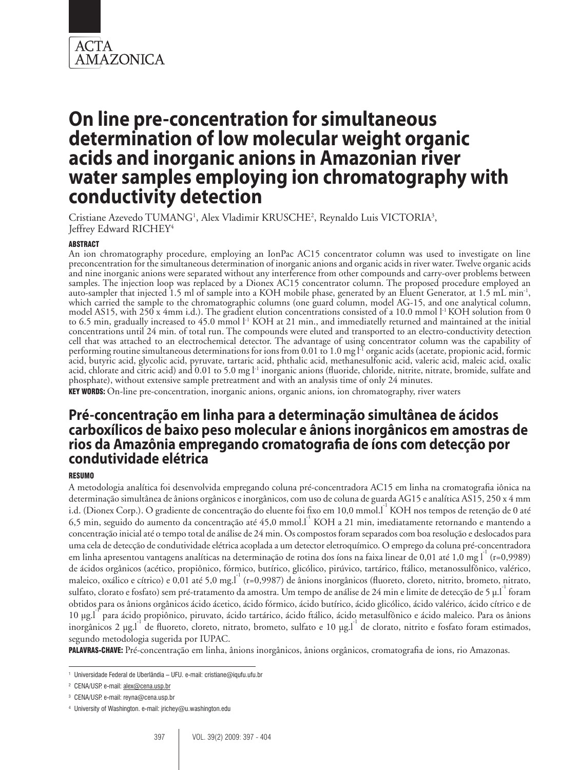

Cristiane Azevedo TUMANG<sup>1</sup>, Alex Vladimir KRUSCHE<sup>2</sup>, Reynaldo Luis VICTORIA<sup>3</sup>, Jeffrey Edward RICHEY<sup>4</sup>

## ABSTRACT

An ion chromatography procedure, employing an IonPac AC15 concentrator column was used to investigate on line preconcentration for the simultaneous determination of inorganic anions and organic acids in river water. Twelve organic acids and nine inorganic anions were separated without any interference from other compounds and carry-over problems between samples. The injection loop was replaced by a Dionex AC15 concentrator column. The proposed procedure employed an auto-sampler that injected 1.5 ml of sample into a KOH mobile phase, generated by an Eluent Generator, at 1.5 mL min<sup>-1</sup>, which carried the sample to the chromatographic columns (one guard column, model AG-15, and one anal model AS15, with 250 x 4mm i.d.). The gradient elution concentrations consisted of a 10.0 mmol  $1<sup>1</sup>$  KOH solution from 0 to 6.5 min, gradually increased to 45.0 mmol  $l$ <sup>-1</sup> KOH at 21 min., and immediatelly returned and maintained at the initial concentrations until 24 min. of total run. The compounds were eluted and transported to an electro-conductivity detection cell that was attached to an electrochemical detector. The advantage of using concentrator column was the capability of performing routine simultaneous determinations for ions from  $0.01$  to  $1.0$  mg  $I<sup>T</sup>$  organic acids (acetate, propionic acid, formic acid, butyric acid, glycolic acid, pyruvate, tartaric acid, phthalic acid, methanesulfonic acid, valeric acid, maleic acid, oxalic acid, chlorate and citric acid) and 0.01 to 5.0 mg l<sup>-1</sup> inorganic anions (fluoride, chloride, nitrite, nitrate, bromide, sulfate and phosphate), without extensive sample pretreatment and with an analysis time of only 24 minutes.

KEY WORDS: On-line pre-concentration, inorganic anions, organic anions, ion chromatography, river waters

# **Pré-concentração em linha para a determinação simultânea de ácidos carboxílicos de baixo peso molecular e ânions inorgânicos em amostras de rios da Amazônia empregando cromatografia de íons com detecção por condutividade elétrica**

# RESUMO

A metodologia analítica foi desenvolvida empregando coluna pré-concentradora AC15 em linha na cromatografia iônica na determinação simultânea de ânions orgânicos e inorgânicos, com uso de coluna de guarda AG15 e analítica AS15, 250 x 4 mm i.d. (Dionex Corp.). O gradiente de concentração do eluente foi fixo em 10,0 mmol.<sup>11</sup> KOH nos tempos de retenção de 0 até 6,5 min, seguido do aumento da concentração até 45,0 mmol.<sup>[-1</sup> KOH a 21 min, imediatamente retornando e mantendo a concentração inicial até o tempo total de análise de 24 min. Os compostos foram separados com boa resolução e deslocados para uma cela de detecção de condutividade elétrica acoplada a um detector eletroquímico. O emprego da coluna pré-concentradora em linha apresentou vantagens analíticas na determinação de rotina dos íons na faixa linear de 0,01 até 1,0 mg  $I^{\text{th}}$  (r=0,9989) de ácidos orgânicos (acético, propiônico, fórmico, butírico, glicólico, pirúvico, tartárico, ftálico, metanossulfônico, valérico, maleico, oxálico e cítrico) e 0,01 até 5,0 mg.l<sup>-1</sup> (r=0,9987) de ânions inorgânicos (fluoreto, cloreto, nitrito, brometo, nitrato, sulfato, clorato e fosfato) sem pré-tratamento da amostra. Um tempo de análise de 24 min e limite de detecção de 5 µ.l<sup>-1</sup> foram obtidos para os ânions orgânicos ácido ácetico, ácido fórmico, ácido butírico, ácido glicólico, ácido valérico, ácido cítrico e de 10 µg.l<sup>-1</sup> para ácido propiônico, piruvato, ácido tartárico, ácido ftálico, ácido metasulfônico e ácido maleico. Para os ânions inorgânicos 2 µg.l<sup>-1</sup> de fluoreto, cloreto, nitrato, brometo, sulfato e 10 µg.l<sup>-1</sup> de clorato, nitrito e fosfato foram estimados, segundo metodologia sugerida por IUPAC.

PALAVRAS-CHAVE: Pré-concentração em linha, ânions inorgânicos, ânions orgânicos, cromatografia de ions, rio Amazonas.

<sup>1</sup> Universidade Federal de Uberlândia – UFU. e-mail: cristiane@iqufu.ufu.br

<sup>2</sup> CENA/USP. e-mail: alex@cena.usp.br

<sup>3</sup> CENA/USP. e-mail: reyna@cena.usp.br

<sup>4</sup> University of Washington. e-mail: jrichey@u.washington.edu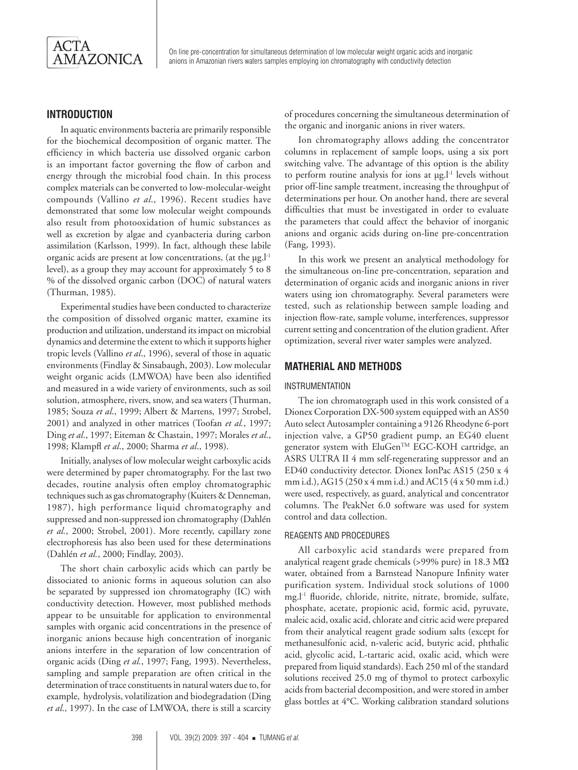

# **INTRODUCTION**

In aquatic environments bacteria are primarily responsible for the biochemical decomposition of organic matter. The efficiency in which bacteria use dissolved organic carbon is an important factor governing the flow of carbon and energy through the microbial food chain. In this process complex materials can be converted to low-molecular-weight compounds (Vallino *et al*., 1996). Recent studies have demonstrated that some low molecular weight compounds also result from photooxidation of humic substances as well as excretion by algae and cyanbacteria during carbon assimilation (Karlsson, 1999). In fact, although these labile organic acids are present at low concentrations, (at the  $\mu$ g.l<sup>-1</sup> level), as a group they may account for approximately 5 to 8 % of the dissolved organic carbon (DOC) of natural waters (Thurman, 1985).

Experimental studies have been conducted to characterize the composition of dissolved organic matter, examine its production and utilization, understand its impact on microbial dynamics and determine the extent to which it supports higher tropic levels (Vallino *et al*., 1996), several of those in aquatic environments (Findlay & Sinsabaugh, 2003). Low molecular weight organic acids (LMWOA) have been also identified and measured in a wide variety of environments, such as soil solution, atmosphere, rivers, snow, and sea waters (Thurman, 1985; Souza *et al*., 1999; Albert & Martens, 1997; Strobel, 2001) and analyzed in other matrices (Toofan *et al.*, 1997; Ding *et al*., 1997; Eiteman & Chastain, 1997; Morales *et al*., 1998; Klampfl *et al*., 2000; Sharma *et al*., 1998).

Initially, analyses of low molecular weight carboxylic acids were determined by paper chromatography. For the last two decades, routine analysis often employ chromatographic techniques such as gas chromatography (Kuiters & Denneman, 1987), high performance liquid chromatography and suppressed and non-suppressed ion chromatography (Dahlén *et al.*, 2000; Strobel, 2001). More recently, capillary zone electrophoresis has also been used for these determinations (Dahlén *et al.*, 2000; Findlay, 2003).

The short chain carboxylic acids which can partly be dissociated to anionic forms in aqueous solution can also be separated by suppressed ion chromatography (IC) with conductivity detection. However, most published methods appear to be unsuitable for application to environmental samples with organic acid concentrations in the presence of inorganic anions because high concentration of inorganic anions interfere in the separation of low concentration of organic acids (Ding *et al.*, 1997; Fang, 1993). Nevertheless, sampling and sample preparation are often critical in the determination of trace constituents in natural waters due to, for example, hydrolysis, volatilization and biodegradation (Ding *et al*., 1997). In the case of LMWOA, there is still a scarcity

of procedures concerning the simultaneous determination of the organic and inorganic anions in river waters.

Ion chromatography allows adding the concentrator columns in replacement of sample loops, using a six port switching valve. The advantage of this option is the ability to perform routine analysis for ions at  $\mu$ g.<sup>1-1</sup> levels without prior off-line sample treatment, increasing the throughput of determinations per hour. On another hand, there are several difficulties that must be investigated in order to evaluate the parameters that could affect the behavior of inorganic anions and organic acids during on-line pre-concentration (Fang, 1993).

In this work we present an analytical methodology for the simultaneous on-line pre-concentration, separation and determination of organic acids and inorganic anions in river waters using ion chromatography. Several parameters were tested, such as relationship between sample loading and injection flow-rate, sample volume, interferences, suppressor current setting and concentration of the elution gradient. After optimization, several river water samples were analyzed.

# **MATHERIAL AND METHODS**

### INSTRUMENTATION

The ion chromatograph used in this work consisted of a Dionex Corporation DX-500 system equipped with an AS50 Auto select Autosampler containing a 9126 Rheodyne 6-port injection valve, a GP50 gradient pump, an EG40 eluent generator system with EluGen™ EGC-KOH cartridge, an ASRS ULTRA II 4 mm self-regenerating suppressor and an ED40 conductivity detector. Dionex IonPac AS15 (250 x 4 mm i.d.), AG15 (250 x 4 mm i.d.) and AC15 (4 x 50 mm i.d.) were used, respectively, as guard, analytical and concentrator columns. The PeakNet 6.0 software was used for system control and data collection.

#### REAGENTS AND PROCEDURES

All carboxylic acid standards were prepared from analytical reagent grade chemicals (>99% pure) in 18.3 MΏ water, obtained from a Barnstead Nanopure Infinity water purification system. Individual stock solutions of 1000 mg.l-1 fluoride, chloride, nitrite, nitrate, bromide, sulfate, phosphate, acetate, propionic acid, formic acid, pyruvate, maleic acid, oxalic acid, chlorate and citric acid were prepared from their analytical reagent grade sodium salts (except for methanesulfonic acid, n-valeric acid, butyric acid, phthalic acid, glycolic acid, L-tartaric acid, oxalic acid, which were prepared from liquid standards). Each 250 ml of the standard solutions received 25.0 mg of thymol to protect carboxylic acids from bacterial decomposition, and were stored in amber glass bottles at 4°C. Working calibration standard solutions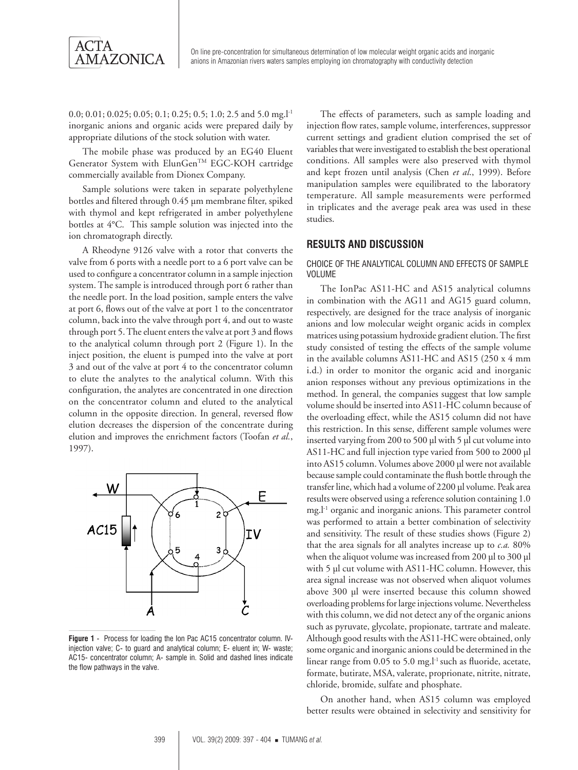

0.0; 0.01; 0.025; 0.05; 0.1; 0.25; 0.5; 1.0; 2.5 and 5.0 mg.l<sup>-1</sup> inorganic anions and organic acids were prepared daily by appropriate dilutions of the stock solution with water.

The mobile phase was produced by an EG40 Eluent Generator System with ElunGen<sup>™</sup> EGC-KOH cartridge commercially available from Dionex Company.

Sample solutions were taken in separate polyethylene bottles and filtered through 0.45 µm membrane filter, spiked with thymol and kept refrigerated in amber polyethylene bottles at 4°C. This sample solution was injected into the ion chromatograph directly.

A Rheodyne 9126 valve with a rotor that converts the valve from 6 ports with a needle port to a 6 port valve can be used to configure a concentrator column in a sample injection system. The sample is introduced through port 6 rather than the needle port. In the load position, sample enters the valve at port 6, flows out of the valve at port 1 to the concentrator column, back into the valve through port 4, and out to waste through port 5. The eluent enters the valve at port 3 and flows to the analytical column through port 2 (Figure 1). In the inject position, the eluent is pumped into the valve at port 3 and out of the valve at port 4 to the concentrator column to elute the analytes to the analytical column. With this configuration, the analytes are concentrated in one direction on the concentrator column and eluted to the analytical column in the opposite direction. In general, reversed flow elution decreases the dispersion of the concentrate during elution and improves the enrichment factors (Toofan *et al.*, 1997).



**Figure 1** - Process for loading the Ion Pac AC15 concentrator column. IVinjection valve; C- to guard and analytical column; E- eluent in; W- waste; AC15- concentrator column; A- sample in. Solid and dashed lines indicate the flow pathways in the valve.

The effects of parameters, such as sample loading and injection flow rates, sample volume, interferences, suppressor current settings and gradient elution comprised the set of variables that were investigated to establish the best operational conditions. All samples were also preserved with thymol and kept frozen until analysis (Chen *et al*., 1999). Before manipulation samples were equilibrated to the laboratory temperature. All sample measurements were performed in triplicates and the average peak area was used in these studies.

# **RESULTS AND DISCUSSION**

#### CHOICE OF THE ANALYTICAL COLUMN AND EFFECTS OF SAMPLE VOLUME

The IonPac AS11-HC and AS15 analytical columns in combination with the AG11 and AG15 guard column, respectively, are designed for the trace analysis of inorganic anions and low molecular weight organic acids in complex matrices using potassium hydroxide gradient elution. The first study consisted of testing the effects of the sample volume in the available columns AS11-HC and AS15 (250 x 4 mm i.d.) in order to monitor the organic acid and inorganic anion responses without any previous optimizations in the method. In general, the companies suggest that low sample volume should be inserted into AS11-HC column because of the overloading effect, while the AS15 column did not have this restriction. In this sense, different sample volumes were inserted varying from 200 to 500 µl with 5 µl cut volume into AS11-HC and full injection type varied from 500 to 2000 µl into AS15 column. Volumes above 2000 µl were not available because sample could contaminate the flush bottle through the transfer line, which had a volume of 2200 µl volume. Peak area results were observed using a reference solution containing 1.0 mg.l-1 organic and inorganic anions. This parameter control was performed to attain a better combination of selectivity and sensitivity. The result of these studies shows (Figure 2) that the area signals for all analytes increase up to *c.a.* 80% when the aliquot volume was increased from 200 µl to 300 µl with 5 µl cut volume with AS11-HC column. However, this area signal increase was not observed when aliquot volumes above 300 µl were inserted because this column showed overloading problems for large injections volume. Nevertheless with this column, we did not detect any of the organic anions such as pyruvate, glycolate, propionate, tartrate and maleate. Although good results with the AS11-HC were obtained, only some organic and inorganic anions could be determined in the linear range from 0.05 to 5.0 mg.<sup>1-1</sup> such as fluoride, acetate, formate, butirate, MSA, valerate, proprionate, nitrite, nitrate, chloride, bromide, sulfate and phosphate.

On another hand, when AS15 column was employed better results were obtained in selectivity and sensitivity for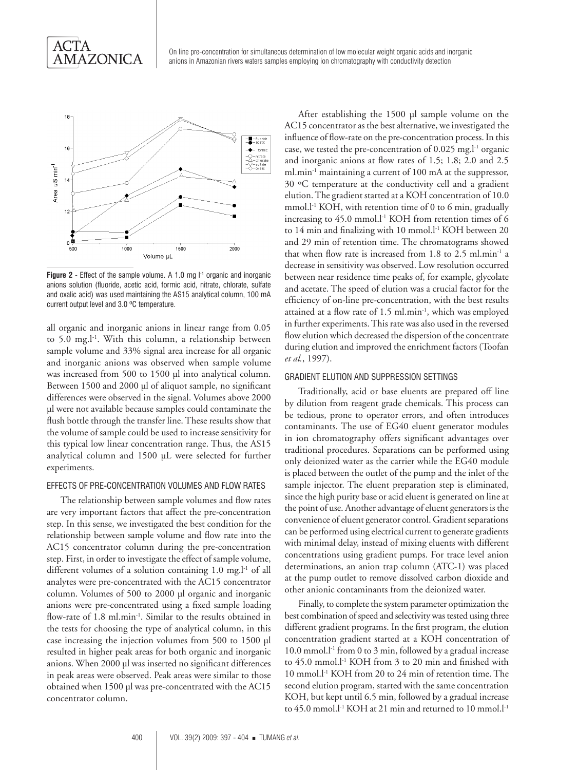

**Figure 2** - Effect of the sample volume. A 1.0 mg  $I<sup>-1</sup>$  organic and inorganic anions solution (fluoride, acetic acid, formic acid, nitrate, chlorate, sulfate and oxalic acid) was used maintaining the AS15 analytical column, 100 mA current output level and 3.0 ºC temperature.

all organic and inorganic anions in linear range from 0.05 to 5.0 mg.l<sup>-1</sup>. With this column, a relationship between sample volume and 33% signal area increase for all organic and inorganic anions was observed when sample volume was increased from 500 to 1500 µl into analytical column. Between 1500 and 2000 µl of aliquot sample, no significant differences were observed in the signal. Volumes above 2000 µl were not available because samples could contaminate the flush bottle through the transfer line. These results show that the volume of sample could be used to increase sensitivity for this typical low linear concentration range. Thus, the AS15 analytical column and 1500 µL were selected for further experiments.

### EFFECTS OF PRE-CONCENTRATION VOLUMES AND FLOW RATES

The relationship between sample volumes and flow rates are very important factors that affect the pre-concentration step. In this sense, we investigated the best condition for the relationship between sample volume and flow rate into the AC15 concentrator column during the pre-concentration step. First, in order to investigate the effect of sample volume, different volumes of a solution containing 1.0 mg.<sup>1-1</sup> of all analytes were pre-concentrated with the AC15 concentrator column. Volumes of 500 to 2000 µl organic and inorganic anions were pre-concentrated using a fixed sample loading flow-rate of 1.8 ml.min-1. Similar to the results obtained in the tests for choosing the type of analytical column, in this case increasing the injection volumes from 500 to 1500 µl resulted in higher peak areas for both organic and inorganic anions. When 2000 µl was inserted no significant differences in peak areas were observed. Peak areas were similar to those obtained when 1500 µl was pre-concentrated with the AC15 concentrator column.

After establishing the 1500 µl sample volume on the AC15 concentrator as the best alternative, we investigated the influence of flow-rate on the pre-concentration process. In this case, we tested the pre-concentration of  $0.025$  mg.<sup>1-1</sup> organic and inorganic anions at flow rates of 1.5; 1.8; 2.0 and 2.5 ml.min<sup>-1</sup> maintaining a current of 100 mA at the suppressor, 30 ºC temperature at the conductivity cell and a gradient elution. The gradient started at a KOH concentration of 10.0 mmol.l<sup>-1</sup> KOH, with retention time of 0 to 6 min, gradually increasing to  $45.0$  mmol.<sup>[-1</sup> KOH from retention times of 6 to 14 min and finalizing with 10 mmol.<sup>1-1</sup> KOH between 20 and 29 min of retention time. The chromatograms showed that when flow rate is increased from  $1.8$  to  $2.5$  ml.min<sup>-1</sup> a decrease in sensitivity was observed. Low resolution occurred between near residence time peaks of, for example, glycolate and acetate. The speed of elution was a crucial factor for the efficiency of on-line pre-concentration, with the best results attained at a flow rate of 1.5 ml.min<sup>-1</sup>, which was employed in further experiments. This rate was also used in the reversed flow elution which decreased the dispersion of the concentrate during elution and improved the enrichment factors (Toofan *et al.*, 1997).

#### GRADIENT ELUTION AND SUPPRESSION SETTINGS

Traditionally, acid or base eluents are prepared off line by dilution from reagent grade chemicals. This process can be tedious, prone to operator errors, and often introduces contaminants. The use of EG40 eluent generator modules in ion chromatography offers significant advantages over traditional procedures. Separations can be performed using only deionized water as the carrier while the EG40 module is placed between the outlet of the pump and the inlet of the sample injector. The eluent preparation step is eliminated, since the high purity base or acid eluent is generated on line at the point of use. Another advantage of eluent generators is the convenience of eluent generator control. Gradient separations can be performed using electrical current to generate gradients with minimal delay, instead of mixing eluents with different concentrations using gradient pumps. For trace level anion determinations, an anion trap column (ATC-1) was placed at the pump outlet to remove dissolved carbon dioxide and other anionic contaminants from the deionized water.

Finally, to complete the system parameter optimization the best combination of speed and selectivity was tested using three different gradient programs. In the first program, the elution concentration gradient started at a KOH concentration of 10.0 mmol.<sup>1-1</sup> from 0 to 3 min, followed by a gradual increase to 45.0 mmol.l<sup>-1</sup> KOH from 3 to 20 min and finished with 10 mmol.l-1 KOH from 20 to 24 min of retention time. The second elution program, started with the same concentration KOH, but kept until 6.5 min, followed by a gradual increase to 45.0 mmol.l<sup>-1</sup> KOH at 21 min and returned to 10 mmol.l<sup>-1</sup>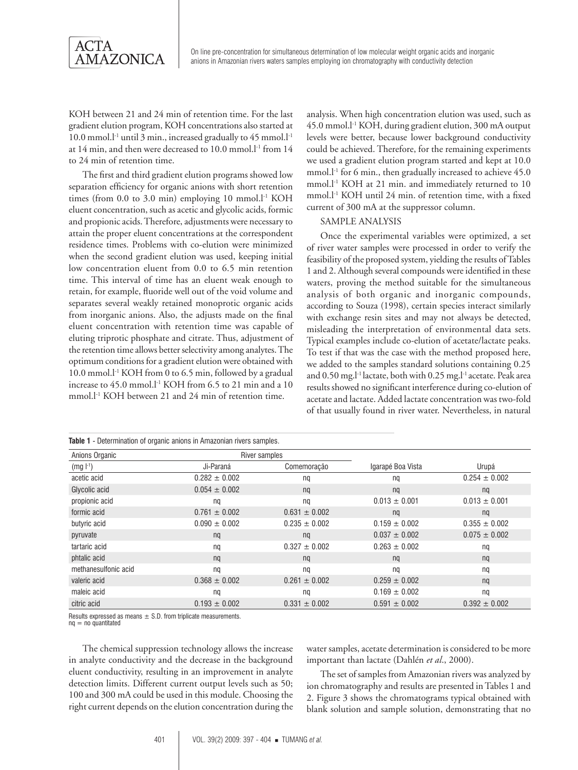

KOH between 21 and 24 min of retention time. For the last gradient elution program, KOH concentrations also started at 10.0 mmol. $l<sup>-1</sup>$  until 3 min., increased gradually to 45 mmol. $l<sup>-1</sup>$ at 14 min, and then were decreased to 10.0 mmol.<sup>1-1</sup> from 14 to 24 min of retention time.

The first and third gradient elution programs showed low separation efficiency for organic anions with short retention times (from 0.0 to 3.0 min) employing 10 mmol.<sup>[-1</sup> KOH eluent concentration, such as acetic and glycolic acids, formic and propionic acids. Therefore, adjustments were necessary to attain the proper eluent concentrations at the correspondent residence times. Problems with co-elution were minimized when the second gradient elution was used, keeping initial low concentration eluent from 0.0 to 6.5 min retention time. This interval of time has an eluent weak enough to retain, for example, fluoride well out of the void volume and separates several weakly retained monoprotic organic acids from inorganic anions. Also, the adjusts made on the final eluent concentration with retention time was capable of eluting triprotic phosphate and citrate. Thus, adjustment of the retention time allows better selectivity among analytes. The optimum conditions for a gradient elution were obtained with 10.0 mmol.l<sup>-1</sup> KOH from 0 to 6.5 min, followed by a gradual increase to  $45.0$  mmol.<sup>1-1</sup> KOH from 6.5 to 21 min and a 10 mmol.<sup>[-1</sup> KOH between 21 and 24 min of retention time.

analysis. When high concentration elution was used, such as 45.0 mmol.l-1 KOH, during gradient elution, 300 mA output levels were better, because lower background conductivity could be achieved. Therefore, for the remaining experiments we used a gradient elution program started and kept at 10.0 mmol.<sup>1-1</sup> for 6 min., then gradually increased to achieve 45.0 mmol.l<sup>-1</sup> KOH at 21 min. and immediately returned to 10 mmol.l-1 KOH until 24 min. of retention time, with a fixed current of 300 mA at the suppressor column.

#### SAMPLE ANALYSIS

Once the experimental variables were optimized, a set of river water samples were processed in order to verify the feasibility of the proposed system, yielding the results of Tables 1 and 2. Although several compounds were identified in these waters, proving the method suitable for the simultaneous analysis of both organic and inorganic compounds, according to Souza (1998), certain species interact similarly with exchange resin sites and may not always be detected, misleading the interpretation of environmental data sets. Typical examples include co-elution of acetate/lactate peaks. To test if that was the case with the method proposed here, we added to the samples standard solutions containing 0.25 and 0.50 mg.l<sup>-1</sup> lactate, both with 0.25 mg.l<sup>-1</sup> acetate. Peak area results showed no significant interference during co-elution of acetate and lactate. Added lactate concentration was two-fold of that usually found in river water. Nevertheless, in natural

| Table 1 - Determination of organic anions in Amazonian rivers samples. |                   |                   |                   |                   |  |  |
|------------------------------------------------------------------------|-------------------|-------------------|-------------------|-------------------|--|--|
| Anions Organic                                                         | River samples     |                   |                   |                   |  |  |
| $(mg l^{-1})$                                                          | Ji-Paraná         | Comemoração       | Igarapé Boa Vista | Urupá             |  |  |
| acetic acid                                                            | $0.282 \pm 0.002$ | nq                | nq                | $0.254 \pm 0.002$ |  |  |
| Glycolic acid                                                          | $0.054 \pm 0.002$ | nq                | nq                | nq                |  |  |
| propionic acid                                                         | ng                | ng                | $0.013 \pm 0.001$ | $0.013 \pm 0.001$ |  |  |
| formic acid                                                            | $0.761 \pm 0.002$ | $0.631 \pm 0.002$ | nq                | nq                |  |  |
| butyric acid                                                           | $0.090 \pm 0.002$ | $0.235 \pm 0.002$ | $0.159 \pm 0.002$ | $0.355 \pm 0.002$ |  |  |
| pyruvate                                                               | nq                | nq                | $0.037 \pm 0.002$ | $0.075 \pm 0.002$ |  |  |
| tartaric acid                                                          | nq                | $0.327 \pm 0.002$ | $0.263 \pm 0.002$ | nq                |  |  |
| phtalic acid                                                           | nq                | nq                | nq                | nq                |  |  |
| methanesulfonic acid                                                   | nq                | ng                | nq                | nq                |  |  |
| valeric acid                                                           | $0.368 \pm 0.002$ | $0.261 \pm 0.002$ | $0.259 \pm 0.002$ | nq                |  |  |
| maleic acid                                                            | ng                | nq                | $0.169 \pm 0.002$ | nq                |  |  |
| citric acid                                                            | $0.193 \pm 0.002$ | $0.331 \pm 0.002$ | $0.591 \pm 0.002$ | $0.392 \pm 0.002$ |  |  |

Results expressed as means  $\pm$  S.D. from triplicate measurements.

 $nq = no$  quantitated

The chemical suppression technology allows the increase in analyte conductivity and the decrease in the background eluent conductivity, resulting in an improvement in analyte detection limits. Different current output levels such as 50; 100 and 300 mA could be used in this module. Choosing the right current depends on the elution concentration during the

water samples, acetate determination is considered to be more important than lactate (Dahlén *et al*., 2000).

The set of samples from Amazonian rivers was analyzed by ion chromatography and results are presented in Tables 1 and 2. Figure 3 shows the chromatograms typical obtained with blank solution and sample solution, demonstrating that no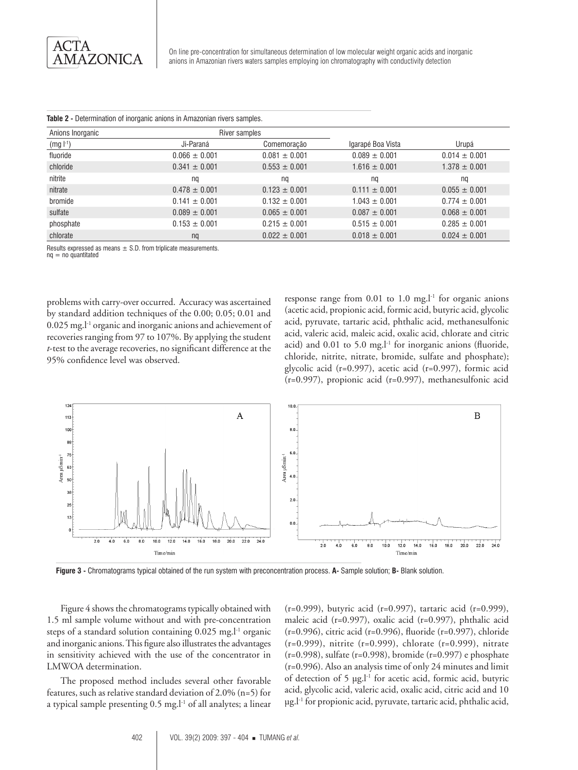| Anions Inorganic | River samples     |                   |                   |                   |
|------------------|-------------------|-------------------|-------------------|-------------------|
| $(mg l^{-1})$    | Ji-Paraná         | Comemoração       | Igarapé Boa Vista | Urupá             |
| fluoride         | $0.066 \pm 0.001$ | $0.081 \pm 0.001$ | $0.089 \pm 0.001$ | $0.014 \pm 0.001$ |
| chloride         | $0.341 \pm 0.001$ | $0.553 \pm 0.001$ | $1.616 \pm 0.001$ | $1.378 \pm 0.001$ |
| nitrite          | ng                | ng                | nq                | na                |
| nitrate          | $0.478 \pm 0.001$ | $0.123 \pm 0.001$ | $0.111 \pm 0.001$ | $0.055 \pm 0.001$ |
| bromide          | $0.141 \pm 0.001$ | $0.132 \pm 0.001$ | $1.043 \pm 0.001$ | $0.774 \pm 0.001$ |
| sulfate          | $0.089 \pm 0.001$ | $0.065 \pm 0.001$ | $0.087 \pm 0.001$ | $0.068 \pm 0.001$ |
| phosphate        | $0.153 \pm 0.001$ | $0.215 \pm 0.001$ | $0.515 \pm 0.001$ | $0.285 \pm 0.001$ |
| chlorate         | nq                | $0.022 \pm 0.001$ | $0.018 \pm 0.001$ | $0.024 \pm 0.001$ |

#### **Table 2 -** Determination of inorganic anions in Amazonian rivers samples.

Results expressed as means  $\pm$  S.D. from triplicate measurements.

 $nq = no$  quantitated

problems with carry-over occurred. Accuracy was ascertained by standard addition techniques of the 0.00; 0.05; 0.01 and 0.025 mg.l-1 organic and inorganic anions and achievement of recoveries ranging from 97 to 107%. By applying the student *t*-test to the average recoveries, no significant difference at the 95% confidence level was observed.

response range from  $0.01$  to  $1.0$  mg.<sup>1-1</sup> for organic anions (acetic acid, propionic acid, formic acid, butyric acid, glycolic acid, pyruvate, tartaric acid, phthalic acid, methanesulfonic acid, valeric acid, maleic acid, oxalic acid, chlorate and citric acid) and  $0.01$  to  $5.0$  mg.<sup>1-1</sup> for inorganic anions (fluoride, chloride, nitrite, nitrate, bromide, sulfate and phosphate); glycolic acid (r=0.997), acetic acid (r=0.997), formic acid (r=0.997), propionic acid (r=0.997), methanesulfonic acid



**Figure 3 -** Chromatograms typical obtained of the run system with preconcentration process. **A-** Sample solution; **B-** Blank solution.

Figure 4 shows the chromatograms typically obtained with 1.5 ml sample volume without and with pre-concentration steps of a standard solution containing 0.025 mg.l<sup>-1</sup> organic and inorganic anions. This figure also illustrates the advantages in sensitivity achieved with the use of the concentrator in LMWOA determination.

The proposed method includes several other favorable features, such as relative standard deviation of 2.0% (n=5) for a typical sample presenting 0.5 mg.l<sup>-1</sup> of all analytes; a linear

(r=0.999), butyric acid (r=0.997), tartaric acid (r=0.999), maleic acid (r=0.997), oxalic acid (r=0.997), phthalic acid (r=0.996), citric acid (r=0.996), fluoride (r=0.997), chloride (r=0.999), nitrite (r=0.999), chlorate (r=0.999), nitrate (r=0.998), sulfate (r=0.998), bromide (r=0.997) e phosphate (r=0.996). Also an analysis time of only 24 minutes and limit of detection of 5 µg.l-1 for acetic acid, formic acid, butyric acid, glycolic acid, valeric acid, oxalic acid, citric acid and 10 µg.l-1 for propionic acid, pyruvate, tartaric acid, phthalic acid,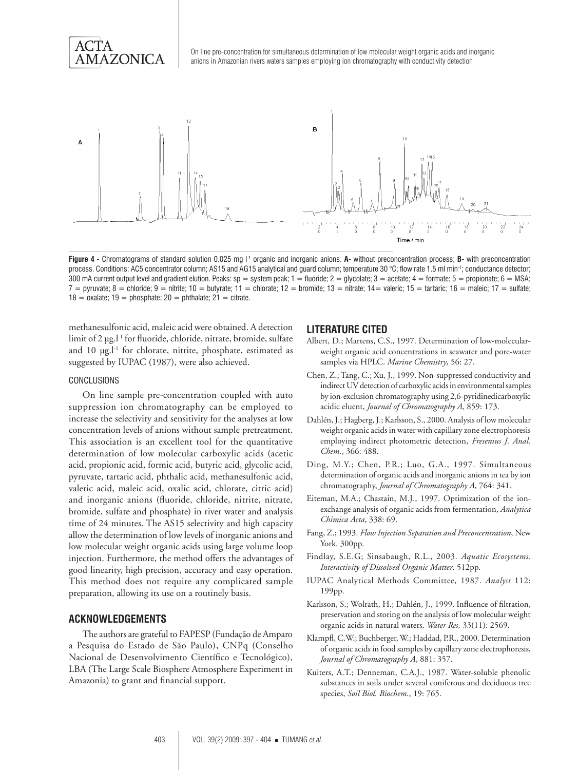

**Figure 4 -** Chromatograms of standard solution 0.025 mg l-1 organic and inorganic anions. **A-** without preconcentration process; **B-** with preconcentration process. Conditions: AC5 concentrator column; AS15 and AG15 analytical and guard column; temperature 30 °C; flow rate 1.5 ml min-1; conductance detector; 300 mA current output level and gradient elution. Peaks:  $sp =$  system peak;  $1 =$  fluoride;  $2 =$  glycolate;  $3 =$  acetate;  $4 =$  formate;  $5 =$  propionate;  $6 =$  MSA;  $7 =$  pyruvate;  $8 =$  chloride;  $9 =$  nitrite;  $10 =$  butyrate;  $11 =$  chlorate;  $12 =$  bromide;  $13 =$  nitrate;  $14 =$  valeric;  $15 =$  tartaric;  $16 =$  maleic;  $17 =$  sulfate;  $18 = 0$ xalate;  $19 = 0$ hosphate;  $20 = 0$ hthalate;  $21 = 0$ itrate.

methanesulfonic acid, maleic acid were obtained. A detection limit of 2 µg.l<sup>-1</sup> for fluoride, chloride, nitrate, bromide, sulfate and  $10 \mu g$ .<sup>1-1</sup> for chlorate, nitrite, phosphate, estimated as suggested by IUPAC (1987), were also achieved.

#### CONCLUSIONS

On line sample pre-concentration coupled with auto suppression ion chromatography can be employed to increase the selectivity and sensitivity for the analyses at low concentration levels of anions without sample pretreatment. This association is an excellent tool for the quantitative determination of low molecular carboxylic acids (acetic acid, propionic acid, formic acid, butyric acid, glycolic acid, pyruvate, tartaric acid, phthalic acid, methanesulfonic acid, valeric acid, maleic acid, oxalic acid, chlorate, citric acid) and inorganic anions (fluoride, chloride, nitrite, nitrate, bromide, sulfate and phosphate) in river water and analysis time of 24 minutes. The AS15 selectivity and high capacity allow the determination of low levels of inorganic anions and low molecular weight organic acids using large volume loop injection. Furthermore, the method offers the advantages of good linearity, high precision, accuracy and easy operation. This method does not require any complicated sample preparation, allowing its use on a routinely basis.

#### **ACKNOWLEDGEMENTS**

The authors are grateful to FAPESP (Fundação de Amparo a Pesquisa do Estado de São Paulo), CNPq (Conselho Nacional de Desenvolvimento Científico e Tecnológico), LBA (The Large Scale Biosphere Atmosphere Experiment in Amazonia) to grant and financial support.

#### **LITERATURE CITED**

- Albert, D.; Martens, C.S., 1997. Determination of low-molecularweight organic acid concentrations in seawater and pore-water samples via HPLC. *Marine Chemistry*, 56: 27.
- Chen, Z.; Tang, C.; Xu, J., 1999. Non-suppressed conductivity and indirect UV detection of carboxylic acids in environmental samples by ion-exclusion chromatography using 2,6-pyridinedicarboxylic acidic eluent, *Journal of Chromatography A,* 859: 173.
- Dahlén, J.; Hagberg, J.; Karlsson, S., 2000. Analysis of low molecular weight organic acids in water with capillary zone electrophoresis employing indirect photometric detection, *Fresenius J. Anal. Chem.*, 366: 488.
- Ding, M.Y.; Chen, P.R.; Luo, G.A., 1997. Simultaneous determination of organic acids and inorganic anions in tea by ion chromatography, *Journal of Chromatography A*, 764: 341.
- Eiteman, M.A.; Chastain, M.J., 1997. Optimization of the ionexchange analysis of organic acids from fermentation, *Analytica Chimica Acta*, 338: 69.
- Fang, Z.; 1993. *Flow Injection Separation and Preconcentration*, New York. 300pp.
- Findlay, S.E.G; Sinsabaugh, R.L., 2003. *Aquatic Ecosystems. Interactivity of Dissolved Organic Matter*. 512pp.
- IUPAC Analytical Methods Committee, 1987. *Analyst* 112: 199pp.
- Karlsson, S.; Wolrath, H.; Dahlén, J., 1999. Influence of filtration, preservation and storing on the analysis of low molecular weight organic acids in natural waters. *Water Res,* 33(11): 2569.
- Klampfl, C.W.; Buchberger, W.; Haddad, P.R., 2000. Determination of organic acids in food samples by capillary zone electrophoresis, *Journal of Chromatography A*, 881: 357.
- Kuiters, A.T.; Denneman, C.A.J., 1987. Water-soluble phenolic substances in soils under several coniferous and deciduous tree species, *Soil Biol. Biochem.*, 19: 765.